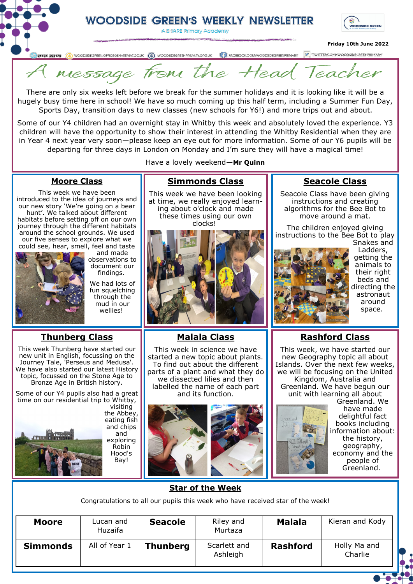# **WOODSIDE GREEN'S WEEKLY NEWSLETTER**

A SHARE Primary Academy



### **Friday 10th June 2022**



message from the tead Ieac

There are only six weeks left before we break for the summer holidays and it is looking like it will be a hugely busy time here in school! We have so much coming up this half term, including a Summer Fun Day, Sports Day, transition days to new classes (new schools for Y6!) and more trips out and about.

Some of our Y4 children had an overnight stay in Whitby this week and absolutely loved the experience. Y3 children will have the opportunity to show their interest in attending the Whitby Residential when they are in Year 4 next year very soon—please keep an eye out for more information. Some of our Y6 pupils will be departing for three days in London on Monday and I'm sure they will have a magical time!

Have a lovely weekend—**Mr Quinn**

**Simmonds Class** This week we have been looking at time, we really enjoyed learning about o'clock and made these times using our own clocks!

### **Moore Class**

This week we have been introduced to the idea of journeys and our new story 'We're going on a bear hunt'. We talked about different habitats before setting off on our own journey through the different habitats around the school grounds. We used our five senses to explore what we could see, hear, smell, feel and taste



and made observations to document our

findings.

We had lots of fun squelching through the mud in our wellies!

### **Thunberg Class**

This week Thunberg have started our new unit in English, focussing on the Journey Tale, 'Perseus and Medusa'. We have also started our latest History topic, focussed on the Stone Age to Bronze Age in British history.

Some of our Y4 pupils also had a great time on our residential trip to Whitby, visiting the Abbey, eating fish and chips and exploring Robin Hood's Bay!

**Malala Class**

This week in science we have started a new topic about plants. To find out about the different parts of a plant and what they do we dissected lilies and then labelled the name of each part and its function.



### **Seacole Class**

Seacole Class have been giving instructions and creating algorithms for the Bee Bot to move around a mat.

The children enjoyed giving instructions to the Bee Bot to play Snakes and



Ladders, getting the animals to their right beds and directing the astronaut around space.

### **Rashford Class**

This week, we have started our new Geography topic all about Islands. Over the next few weeks, we will be focusing on the United Kingdom, Australia and Greenland. We have begun our unit with learning all about

> Greenland. We have made delightful fact books including information about: the history, geography, economy and the people of

Greenland.

**Star of the Week**

Congratulations to all our pupils this week who have received star of the week!

| <b>Moore</b>    | Lucan and<br>Huzaifa | <b>Seacole</b>  | Riley and<br>Murtaza     | <b>Malala</b>   | Kieran and Kody         |
|-----------------|----------------------|-----------------|--------------------------|-----------------|-------------------------|
| <b>Simmonds</b> | All of Year 1        | <b>Thunberg</b> | Scarlett and<br>Ashleigh | <b>Rashford</b> | Holly Ma and<br>Charlie |